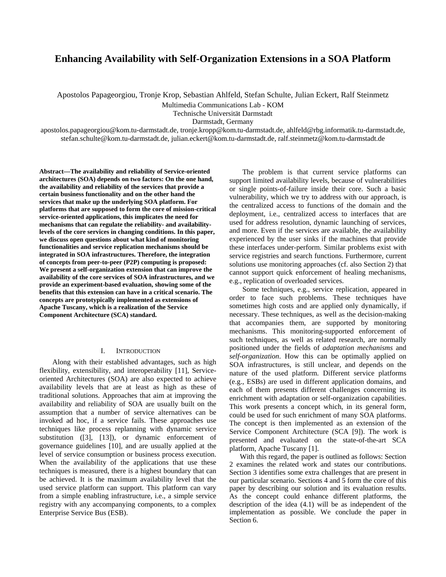# **Enhancing Availability with Self-Organization Extensions in a SOA Platform**

Apostolos Papageorgiou, Tronje Krop, Sebastian Ahlfeld, Stefan Schulte, Julian Eckert, Ralf Steinmetz

Multimedia Communications Lab - KOM

Technische Universität Darmstadt

Darmstadt, Germany

apostolos.papageorgiou@kom.tu-darmstadt.de, tronje.kropp@kom.tu-darmstadt.de, ahlfeld@rbg.informatik.tu-darmstadt.de, stefan.schulte@kom.tu-darmstadt.de, julian.eckert@kom.tu-darmstadt.de, ralf.steinmetz@kom.tu-darmstadt.de

**Abstract—The availability and reliability of Service-oriented architectures (SOA) depends on two factors: On the one hand, the availability and reliability of the services that provide a certain business functionality and on the other hand the services that make up the underlying SOA platform. For platforms that are supposed to form the core of mission-critical service-oriented applications, this implicates the need for mechanisms that can regulate the reliability- and availabilitylevels of the core services in changing conditions. In this paper, we discuss open questions about what kind of monitoring functionalities and service replication mechanisms should be integrated in SOA infrastructures. Therefore, the integration of concepts from peer-to-peer (P2P) computing is proposed: We present a self-organization extension that can improve the availability of the core services of SOA infrastructures, and we provide an experiment-based evaluation, showing some of the benefits that this extension can have in a critical scenario. The concepts are prototypically implemented as extensions of Apache Tuscany, which is a realization of the Service Component Architecture (SCA) standard.** 

#### I. INTRODUCTION

Along with their established advantages, such as high flexibility, extensibility, and interoperability [11], Serviceoriented Architectures (SOA) are also expected to achieve availability levels that are at least as high as these of traditional solutions. Approaches that aim at improving the availability and reliability of SOA are usually built on the assumption that a number of service alternatives can be invoked ad hoc, if a service fails. These approaches use techniques like process replanning with dynamic service substitution ([3], [13]), or dynamic enforcement of governance guidelines [10], and are usually applied at the level of service consumption or business process execution. When the availability of the applications that use these techniques is measured, there is a highest boundary that can be achieved. It is the maximum availability level that the used service platform can support. This platform can vary from a simple enabling infrastructure, i.e., a simple service registry with any accompanying components, to a complex Enterprise Service Bus (ESB).

The problem is that current service platforms can support limited availability levels, because of vulnerabilities or single points-of-failure inside their core. Such a basic vulnerability, which we try to address with our approach, is the centralized access to functions of the domain and the deployment, i.e., centralized access to interfaces that are used for address resolution, dynamic launching of services, and more. Even if the services are available, the availability experienced by the user sinks if the machines that provide these interfaces under-perform. Similar problems exist with service registries and search functions. Furthermore, current solutions use monitoring approaches (cf. also Section 2) that cannot support quick enforcement of healing mechanisms, e.g., replication of overloaded services.

Some techniques, e.g., service replication, appeared in order to face such problems. These techniques have sometimes high costs and are applied only dynamically, if necessary. These techniques, as well as the decision-making that accompanies them, are supported by monitoring mechanisms. This monitoring-supported enforcement of such techniques, as well as related research, are normally positioned under the fields of *adaptation mechanisms* and *self-organization*. How this can be optimally applied on SOA infrastructures, is still unclear, and depends on the nature of the used platform. Different service platforms (e.g., ESBs) are used in different application domains, and each of them presents different challenges concerning its enrichment with adaptation or self-organization capabilities. This work presents a concept which, in its general form, could be used for such enrichment of many SOA platforms. The concept is then implemented as an extension of the Service Component Architecture (SCA [9]). The work is presented and evaluated on the state-of-the-art SCA platform, Apache Tuscany [1].

With this regard, the paper is outlined as follows: Section 2 examines the related work and states our contributions. Section 3 identifies some extra challenges that are present in our particular scenario. Sections 4 and 5 form the core of this paper by describing our solution and its evaluation results. As the concept could enhance different platforms, the description of the idea (4.1) will be as independent of the implementation as possible. We conclude the paper in Section 6.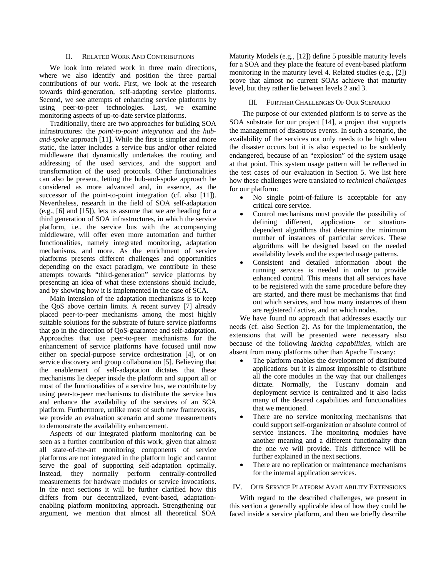# II. RELATED WORK AND CONTRIBUTIONS

We look into related work in three main directions, where we also identify and position the three partial contributions of our work. First, we look at the research towards third-generation, self-adapting service platforms. Second, we see attempts of enhancing service platforms by using peer-to-peer technologies. Last, we examine monitoring aspects of up-to-date service platforms.

Traditionally, there are two approaches for building SOA infrastructures: the *point-to-point integration* and the *huband-spoke* approach [11]. While the first is simpler and more static, the latter includes a service bus and/or other related middleware that dynamically undertakes the routing and addressing of the used services, and the support and transformation of the used protocols. Other functionalities can also be present, letting the hub-and-spoke approach be considered as more advanced and, in essence, as the successor of the point-to-point integration (cf. also [11]). Nevertheless, research in the field of SOA self-adaptation (e.g., [6] and [15]), lets us assume that we are heading for a third generation of SOA infrastructures, in which the service platform, i.e., the service bus with the accompanying middleware, will offer even more automation and further functionalities, namely integrated monitoring, adaptation mechanisms, and more. As the enrichment of service platforms presents different challenges and opportunities depending on the exact paradigm, we contribute in these attempts towards "third-generation" service platforms by presenting an idea of what these extensions should include, and by showing how it is implemented in the case of SCA.

Main intension of the adaptation mechanisms is to keep the QoS above certain limits. A recent survey [7] already placed peer-to-peer mechanisms among the most highly suitable solutions for the substrate of future service platforms that go in the direction of QoS-guarantee and self-adaptation. Approaches that use peer-to-peer mechanisms for the enhancement of service platforms have focused until now either on special-purpose service orchestration [4], or on service discovery and group collaboration [5]. Believing that the enablement of self-adaptation dictates that these mechanisms lie deeper inside the platform and support all or most of the functionalities of a service bus, we contribute by using peer-to-peer mechanisms to distribute the service bus and enhance the availability of the services of an SCA platform. Furthermore, unlike most of such new frameworks, we provide an evaluation scenario and some measurements to demonstrate the availability enhancement.

Aspects of our integrated platform monitoring can be seen as a further contribution of this work, given that almost all state-of-the-art monitoring components of service platforms are not integrated in the platform logic and cannot serve the goal of supporting self-adaptation optimally. Instead, they normally perform centrally-controlled measurements for hardware modules or service invocations. In the next sections it will be further clarified how this differs from our decentralized, event-based, adaptationenabling platform monitoring approach. Strengthening our argument, we mention that almost all theoretical SOA

Maturity Models (e.g., [12]) define 5 possible maturity levels for a SOA and they place the feature of event-based platform monitoring in the maturity level 4. Related studies (e.g., [2]) prove that almost no current SOAs achieve that maturity level, but they rather lie between levels 2 and 3.

# III. FURTHER CHALLENGES OF OUR SCENARIO

The purpose of our extended platform is to serve as the SOA substrate for our project [14], a project that supports the management of disastrous events. In such a scenario, the availability of the services not only needs to be high when the disaster occurs but it is also expected to be suddenly endangered, because of an "explosion" of the system usage at that point. This system usage pattern will be reflected in the test cases of our evaluation in Section 5. We list here how these challenges were translated to *technical challenges* for our platform:

- No single point-of-failure is acceptable for any critical core service.
- Control mechanisms must provide the possibility of defining different, application- or situationdependent algorithms that determine the minimum number of instances of particular services. These algorithms will be designed based on the needed availability levels and the expected usage patterns.
- Consistent and detailed information about the running services is needed in order to provide enhanced control. This means that all services have to be registered with the same procedure before they are started, and there must be mechanisms that find out which services, and how many instances of them are registered / active, and on which nodes.

We have found no approach that addresses exactly our needs (cf. also Section 2). As for the implementation, the extensions that will be presented were necessary also because of the following *lacking capabilities,* which are absent from many platforms other than Apache Tuscany:

- The platform enables the development of distributed applications but it is almost impossible to distribute all the core modules in the way that our challenges dictate. Normally, the Tuscany domain and deployment service is centralized and it also lacks many of the desired capabilities and functionalities that we mentioned.
- There are no service monitoring mechanisms that could support self-organization or absolute control of service instances. The monitoring modules have another meaning and a different functionality than the one we will provide. This difference will be further explained in the next sections.
- There are no replication or maintenance mechanisms for the internal application services.

## IV. OUR SERVICE PLATFORM AVAILABILITY EXTENSIONS

With regard to the described challenges, we present in this section a generally applicable idea of how they could be faced inside a service platform, and then we briefly describe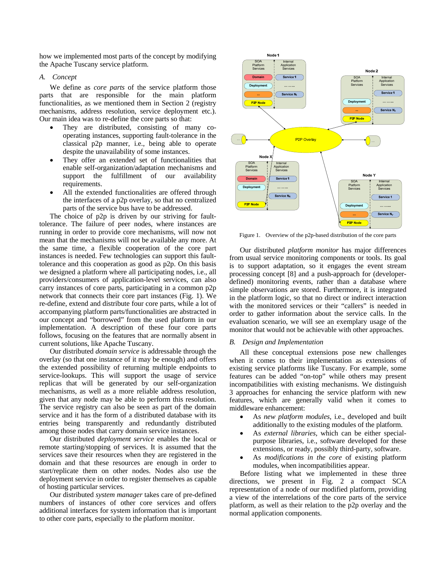how we implemented most parts of the concept by modifying the Apache Tuscany service platform.

#### *A. Concept*

We define as *core parts* of the service platform those parts that are responsible for the main platform functionalities, as we mentioned them in Section 2 (registry mechanisms, address resolution, service deployment etc.). Our main idea was to re-define the core parts so that:

- They are distributed, consisting of many cooperating instances, supporting fault-tolerance in the classical p2p manner, i.e., being able to operate despite the unavailability of some instances.
- They offer an extended set of functionalities that enable self-organization/adaptation mechanisms and support the fulfillment of our availability requirements.
- All the extended functionalities are offered through the interfaces of a p2p overlay, so that no centralized parts of the service bus have to be addressed.

The choice of p2p is driven by our striving for faulttolerance. The failure of peer nodes, where instances are running in order to provide core mechanisms, will now not mean that the mechanisms will not be available any more. At the same time, a flexible cooperation of the core part instances is needed. Few technologies can support this faulttolerance and this cooperation as good as p2p. On this basis we designed a platform where all participating nodes, i.e., all providers/consumers of application-level services, can also carry instances of core parts, participating in a common p2p network that connects their core part instances (Fig. 1). We re-define, extend and distribute four core parts, while a lot of accompanying platform parts/functionalities are abstracted in our concept and "borrowed" from the used platform in our implementation. A description of these four core parts follows, focusing on the features that are normally absent in current solutions, like Apache Tuscany.

Our distributed *domain service* is addressable through the overlay (so that one instance of it may be enough) and offers the extended possibility of returning multiple endpoints to service-lookups. This will support the usage of service replicas that will be generated by our self-organization mechanisms, as well as a more reliable address resolution, given that any node may be able to perform this resolution. The service registry can also be seen as part of the domain service and it has the form of a distributed database with its entries being transparently and redundantly distributed among those nodes that carry domain service instances.

Our distributed *deployment service* enables the local or remote starting/stopping of services. It is assumed that the services save their resources when they are registered in the domain and that these resources are enough in order to start/replicate them on other nodes. Nodes also use the deployment service in order to register themselves as capable of hosting particular services.

Our distributed *system manager* takes care of pre-defined numbers of instances of other core services and offers additional interfaces for system information that is important to other core parts, especially to the platform monitor.



Figure 1. Overview of the p2p-based distribution of the core parts

Our distributed *platform monitor* has major differences from usual service monitoring components or tools. Its goal is to support adaptation, so it engages the event stream processing concept [8] and a push-approach for (developerdefined) monitoring events, rather than a database where simple observations are stored. Furthermore, it is integrated in the platform logic, so that no direct or indirect interaction with the monitored services or their "callers" is needed in order to gather information about the service calls. In the evaluation scenario, we will see an exemplary usage of the monitor that would not be achievable with other approaches.

## *B. Design and Implementation*

All these conceptual extensions pose new challenges when it comes to their implementation as extensions of existing service platforms like Tuscany. For example, some features can be added "on-top" while others may present incompatibilities with existing mechanisms. We distinguish 3 approaches for enhancing the service platform with new features, which are generally valid when it comes to middleware enhancement:

- As *new platform modules*, i.e., developed and built additionally to the existing modules of the platform.
- As *external libraries*, which can be either specialpurpose libraries, i.e., software developed for these extensions, or ready, possibly third-party, software.
- As *modifications in the core* of existing platform modules, when incompatibilities appear.

Before listing what we implemented in these three directions, we present in Fig. 2 a compact SCA representation of a node of our modified platform, providing a view of the interrelations of the core parts of the service platform, as well as their relation to the p2p overlay and the normal application components.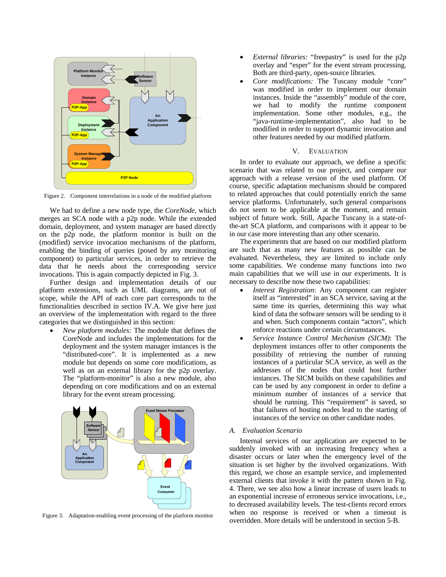

Figure 2. Component interrelations in a node of the modified platform

We had to define a new node type, the *CoreNode*, which merges an SCA node with a p2p node. While the extended domain, deployment, and system manager are based directly on the p2p node, the platform monitor is built on the (modified) service invocation mechanisms of the platform, enabling the binding of queries (posed by any monitoring component) to particular services, in order to retrieve the data that he needs about the corresponding service invocations. This is again compactly depicted in Fig. 3.

Further design and implementation details of our platform extensions, such as UML diagrams, are out of scope, while the API of each core part corresponds to the functionalities described in section IV.A. We give here just an overview of the implementation with regard to the three categories that we distinguished in this section:

• *New platform modules:* The module that defines the CoreNode and includes the implementations for the deployment and the system manager instances is the "distributed-core". It is implemented as a new module but depends on some core modifications, as well as on an external library for the p2p overlay. The "platform-monitor" is also a new module, also depending on core modifications and on an external library for the event stream processing.



Figure 3. Adaptation-enabling event processing of the platform monitor

- *External libraries:* "freepastry" is used for the p2p overlay and "esper" for the event stream processing. Both are third-party, open-source libraries.
- Core modifications: The Tuscany module "core" was modified in order to implement our domain instances. Inside the "assembly" module of the core, we had to modify the runtime component implementation. Some other modules, e.g., the "java-runtime-implementation", also had to be modified in order to support dynamic invocation and other features needed by our modified platform.

#### V. EVALUATION

In order to evaluate our approach, we define a specific scenario that was related to our project, and compare our approach with a release version of the used platform. Of course, specific adaptation mechanisms should be compared to related approaches that could potentially enrich the same service platforms. Unfortunately, such general comparisons do not seem to be applicable at the moment, and remain subject of future work. Still, Apache Tuscany is a state-ofthe-art SCA platform, and comparisons with it appear to be in our case more interesting than any other scenario.

The experiments that are based on our modified platform are such that as many new features as possible can be evaluated. Nevertheless, they are limited to include only some capabilities. We condense many functions into two main capabilities that we will use in our experiments. It is necessary to describe now these two capabilities:

- *Interest Registration*: Any component can register itself as "interested" in an SCA service, saving at the same time its queries, determining this way what kind of data the software sensors will be sending to it and when. Such components contain "actors", which enforce reactions under certain circumstances.
- *Service Instance Control Mechanism (SICM)*: The deployment instances offer to other components the possibility of retrieving the number of running instances of a particular SCA service, as well as the addresses of the nodes that could host further instances. The SICM builds on these capabilities and can be used by any component in order to define a minimum number of instances of a service that should be running. This "requirement" is saved, so that failures of hosting nodes lead to the starting of instances of the service on other candidate nodes.

#### *A. Evaluation Scenario*

Internal services of our application are expected to be suddenly invoked with an increasing frequency when a disaster occurs or later when the emergency level of the situation is set higher by the involved organizations. With this regard, we chose an example service, and implemented external clients that invoke it with the pattern shown in Fig. 4. There, we see also how a linear increase of users leads to an exponential increase of erroneous service invocations, i.e., to decreased availability levels. The test-clients record errors when no response is received or when a timeout is overridden. More details will be understood in section 5-B.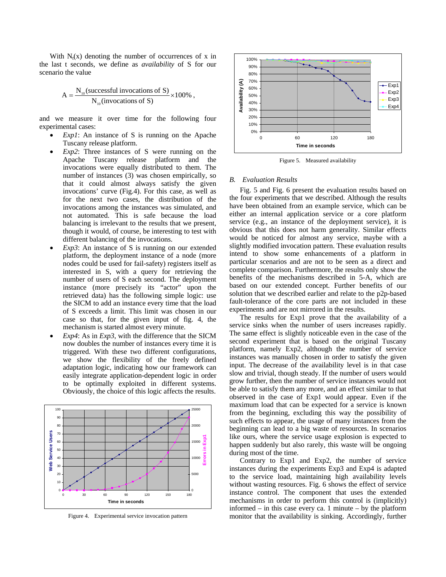With  $N_t(x)$  denoting the number of occurrences of x in the last t seconds, we define as *availability* of S for our scenario the value

$$
A = \frac{N_{10}(\text{successful invocations of S})}{N_{10}(\text{invocations of S})} \times 100\%
$$

and we measure it over time for the following four experimental cases:

- *Exp1*: An instance of S is running on the Apache Tuscany release platform.
- *Exp2*: Three instances of S were running on the Apache Tuscany release platform and the invocations were equally distributed to them. The number of instances (3) was chosen empirically, so that it could almost always satisfy the given invocations' curve (Fig.4). For this case, as well as for the next two cases, the distribution of the invocations among the instances was simulated, and not automated. This is safe because the load balancing is irrelevant to the results that we present, though it would, of course, be interesting to test with different balancing of the invocations.
- *Exp3*: An instance of S is running on our extended platform, the deployment instance of a node (more nodes could be used for fail-safety) registers itself as interested in S, with a query for retrieving the number of users of S each second. The deployment instance (more precisely its "actor" upon the retrieved data) has the following simple logic: use the SICM to add an instance every time that the load of S exceeds a limit. This limit was chosen in our case so that, for the given input of fig. 4, the mechanism is started almost every minute.
- *Exp4*: As in *Exp3*, with the difference that the SICM now doubles the number of instances every time it is triggered. With these two different configurations, we show the flexibility of the freely defined adaptation logic, indicating how our framework can easily integrate application-dependent logic in order to be optimally exploited in different systems. Obviously, the choice of this logic affects the results.



Figure 4. Experimental service invocation pattern



Figure 5. Measured availability

# *B. Evaluation Results*

Fig. 5 and Fig. 6 present the evaluation results based on the four experiments that we described. Although the results have been obtained from an example service, which can be either an internal application service or a core platform service (e.g., an instance of the deployment service), it is obvious that this does not harm generality. Similar effects would be noticed for almost any service, maybe with a slightly modified invocation pattern. These evaluation results intend to show some enhancements of a platform in particular scenarios and are not to be seen as a direct and complete comparison. Furthermore, the results only show the benefits of the mechanisms described in 5-A, which are based on our extended concept. Further benefits of our solution that we described earlier and relate to the p2p-based fault-tolerance of the core parts are not included in these experiments and are not mirrored in the results.

The results for Exp1 prove that the availability of a service sinks when the number of users increases rapidly. The same effect is slightly noticeable even in the case of the second experiment that is based on the original Tuscany platform, namely Exp2, although the number of service instances was manually chosen in order to satisfy the given input. The decrease of the availability level is in that case slow and trivial, though steady. If the number of users would grow further, then the number of service instances would not be able to satisfy them any more, and an effect similar to that observed in the case of Exp1 would appear. Even if the maximum load that can be expected for a service is known from the beginning, excluding this way the possibility of such effects to appear, the usage of many instances from the beginning can lead to a big waste of resources. In scenarios like ours, where the service usage explosion is expected to happen suddenly but also rarely, this waste will be ongoing during most of the time.

Contrary to Exp1 and Exp2, the number of service instances during the experiments Exp3 and Exp4 is adapted to the service load, maintaining high availability levels without wasting resources. Fig. 6 shows the effect of service instance control. The component that uses the extended mechanisms in order to perform this control is (implicitly) informed – in this case every ca. 1 minute – by the platform monitor that the availability is sinking. Accordingly, further